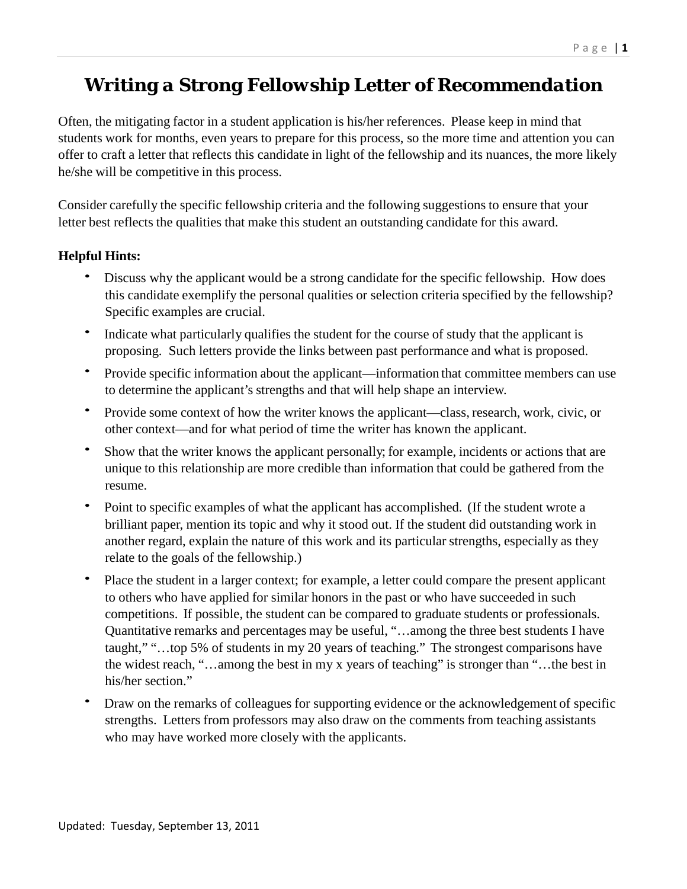# *Writing a Strong Fellowship Letter of Recommendation*

Often, the mitigating factor in a student application is his/her references. Please keep in mind that students work for months, even years to prepare for this process, so the more time and attention you can offer to craft a letter that reflects this candidate in light of the fellowship and its nuances, the more likely he/she will be competitive in this process.

Consider carefully the specific fellowship criteria and the following suggestions to ensure that your letter best reflects the qualities that make this student an outstanding candidate for this award.

## **Helpful Hints:**

- Discuss why the applicant would be a strong candidate for the specific fellowship. How does this candidate exemplify the personal qualities or selection criteria specified by the fellowship? Specific examples are crucial.
- Indicate what particularly qualifies the student for the course of study that the applicant is proposing. Such letters provide the links between past performance and what is proposed.
- Provide specific information about the applicant—information that committee members can use to determine the applicant's strengths and that will help shape an interview.
- Provide some context of how the writer knows the applicant—class, research, work, civic, or other context—and for what period of time the writer has known the applicant.
- Show that the writer knows the applicant personally; for example, incidents or actions that are unique to this relationship are more credible than information that could be gathered from the resume.
- Point to specific examples of what the applicant has accomplished. (If the student wrote a brilliant paper, mention its topic and why it stood out. If the student did outstanding work in another regard, explain the nature of this work and its particular strengths, especially as they relate to the goals of the fellowship.)
- Place the student in a larger context; for example, a letter could compare the present applicant to others who have applied for similar honors in the past or who have succeeded in such competitions. If possible, the student can be compared to graduate students or professionals. Quantitative remarks and percentages may be useful, "…among the three best students I have taught," "…top 5% of students in my 20 years of teaching." The strongest comparisons have the widest reach, "…among the best in my x years of teaching" is stronger than "…the best in his/her section."
- Draw on the remarks of colleagues for supporting evidence or the acknowledgement of specific strengths. Letters from professors may also draw on the comments from teaching assistants who may have worked more closely with the applicants.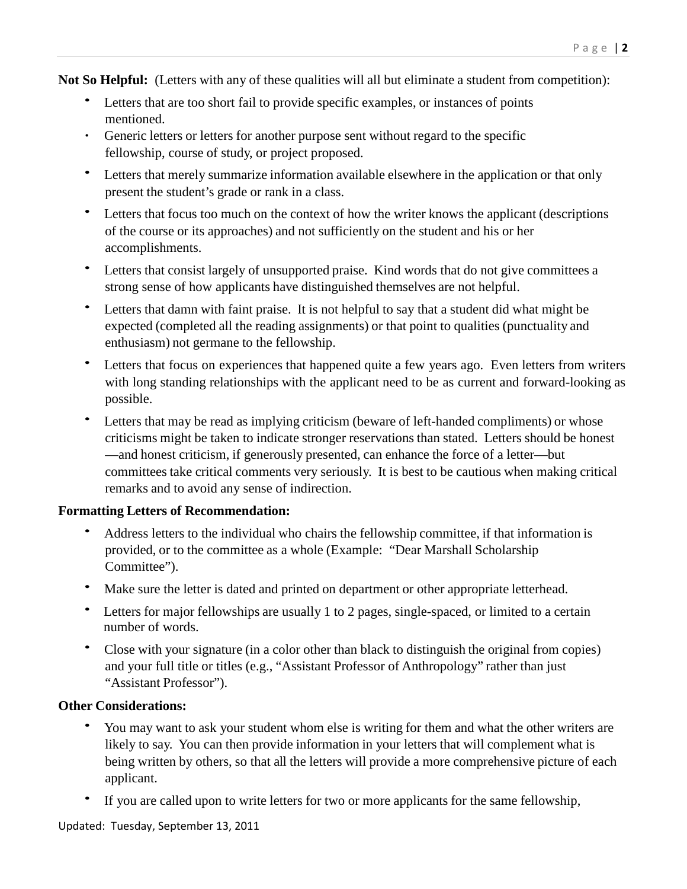**Not So Helpful:** (Letters with any of these qualities will all but eliminate a student from competition):

- Letters that are too short fail to provide specific examples, or instances of points mentioned.
- ∙ Generic letters or letters for another purpose sent without regard to the specific fellowship, course of study, or project proposed.
- Letters that merely summarize information available elsewhere in the application or that only present the student's grade or rank in a class.
- Letters that focus too much on the context of how the writer knows the applicant (descriptions of the course or its approaches) and not sufficiently on the student and his or her accomplishments.
- Letters that consist largely of unsupported praise. Kind words that do not give committees a strong sense of how applicants have distinguished themselves are not helpful.
- Letters that damn with faint praise. It is not helpful to say that a student did what might be expected (completed all the reading assignments) or that point to qualities (punctuality and enthusiasm) not germane to the fellowship.
- Letters that focus on experiences that happened quite a few years ago. Even letters from writers with long standing relationships with the applicant need to be as current and forward-looking as possible.
- Letters that may be read as implying criticism (beware of left-handed compliments) or whose criticisms might be taken to indicate stronger reservations than stated. Letters should be honest —and honest criticism, if generously presented, can enhance the force of a letter—but committees take critical comments very seriously. It is best to be cautious when making critical remarks and to avoid any sense of indirection.

### **Formatting Letters of Recommendation:**

- Address letters to the individual who chairs the fellowship committee, if that information is provided, or to the committee as a whole (Example: "Dear Marshall Scholarship Committee").
- Make sure the letter is dated and printed on department or other appropriate letterhead.
- Letters for major fellowships are usually 1 to 2 pages, single-spaced, or limited to a certain number of words.
- Close with your signature (in a color other than black to distinguish the original from copies) and your full title or titles (e.g., "Assistant Professor of Anthropology" rather than just "Assistant Professor").

### **Other Considerations:**

- You may want to ask your student whom else is writing for them and what the other writers are likely to say. You can then provide information in your letters that will complement what is being written by others, so that all the letters will provide a more comprehensive picture of each applicant.
- If you are called upon to write letters for two or more applicants for the same fellowship,